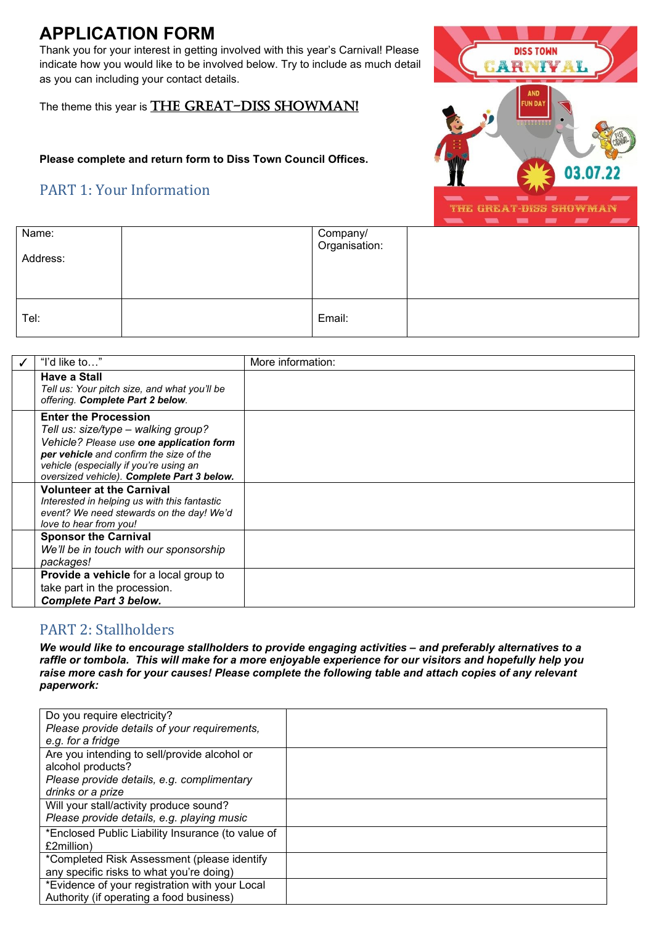# **APPLICATION FORM**

Thank you for your interest in getting involved with this year's Carnival! Please indicate how you would like to be involved below. Try to include as much detail as you can including your contact details.

The theme this year is THE GREAT-DISS SHOWMAN!

## **Please complete and return form to Diss Town Council Offices.**

# PART 1: Your Information



| Name:<br>Address: | Company/<br>Organisation: |  |
|-------------------|---------------------------|--|
| Tel:              | Email:                    |  |

| "I'd like to"                                                                                                                                                                                                                                     | More information: |
|---------------------------------------------------------------------------------------------------------------------------------------------------------------------------------------------------------------------------------------------------|-------------------|
| Have a Stall<br>Tell us: Your pitch size, and what you'll be<br>offering. Complete Part 2 below.                                                                                                                                                  |                   |
| <b>Enter the Procession</b><br>Tell us: size/type - walking group?<br>Vehicle? Please use one application form<br>per vehicle and confirm the size of the<br>vehicle (especially if you're using an<br>oversized vehicle). Complete Part 3 below. |                   |
| <b>Volunteer at the Carnival</b><br>Interested in helping us with this fantastic<br>event? We need stewards on the day! We'd<br>love to hear from you!                                                                                            |                   |
| <b>Sponsor the Carnival</b><br>We'll be in touch with our sponsorship<br>packages!                                                                                                                                                                |                   |
| <b>Provide a vehicle</b> for a local group to<br>take part in the procession.<br><b>Complete Part 3 below.</b>                                                                                                                                    |                   |

# PART 2: Stallholders

*We would like to encourage stallholders to provide engaging activities – and preferably alternatives to a raffle or tombola. This will make for a more enjoyable experience for our visitors and hopefully help you raise more cash for your causes! Please complete the following table and attach copies of any relevant paperwork:*

| Do you require electricity?                       |  |
|---------------------------------------------------|--|
| Please provide details of your requirements,      |  |
| e.g. for a fridge                                 |  |
| Are you intending to sell/provide alcohol or      |  |
| alcohol products?                                 |  |
| Please provide details, e.g. complimentary        |  |
| drinks or a prize                                 |  |
| Will your stall/activity produce sound?           |  |
| Please provide details, e.g. playing music        |  |
| *Enclosed Public Liability Insurance (to value of |  |
| £2million)                                        |  |
| *Completed Risk Assessment (please identify       |  |
| any specific risks to what you're doing)          |  |
| *Evidence of your registration with your Local    |  |
| Authority (if operating a food business)          |  |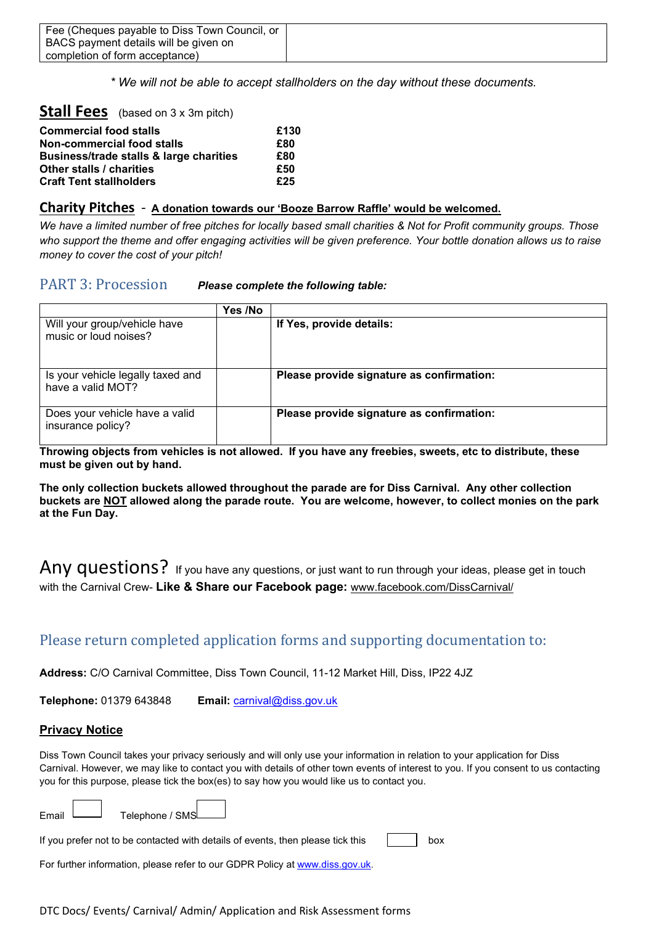| Fee (Cheques payable to Diss Town Council, or |  |
|-----------------------------------------------|--|
| BACS payment details will be given on         |  |
| completion of form acceptance)                |  |

*\* We will not be able to accept stallholders on the day without these documents.*

### **Stall Fees** (based on 3 x 3m pitch)

| <b>Commercial food stalls</b>           | £130 |
|-----------------------------------------|------|
| Non-commercial food stalls              | £80  |
| Business/trade stalls & large charities | £80  |
| Other stalls / charities                | £50  |
| <b>Craft Tent stallholders</b>          | £25  |

#### **Charity Pitches** - **A donation towards our 'Booze Barrow Raffle' would be welcomed.**

*We have a limited number of free pitches for locally based small charities & Not for Profit community groups. Those who support the theme and offer engaging activities will be given preference. Your bottle donation allows us to raise money to cover the cost of your pitch!*

### PART 3: Procession *Please complete the following table:*

|                                                        | Yes /No |                                           |
|--------------------------------------------------------|---------|-------------------------------------------|
| Will your group/vehicle have<br>music or loud noises?  |         | If Yes, provide details:                  |
| Is your vehicle legally taxed and<br>have a valid MOT? |         | Please provide signature as confirmation: |
| Does your vehicle have a valid<br>insurance policy?    |         | Please provide signature as confirmation: |

**Throwing objects from vehicles is not allowed. If you have any freebies, sweets, etc to distribute, these must be given out by hand.**

**The only collection buckets allowed throughout the parade are for Diss Carnival. Any other collection buckets are NOT allowed along the parade route. You are welcome, however, to collect monies on the park at the Fun Day.**

Any questions? If you have any questions, or just want to run through your ideas, please get in touch with the Carnival Crew- **Like & Share our Facebook page:** [www.facebook.com/DissCarnival/](http://www.facebook.com/DissCarnival/)

## Please return completed application forms and supporting documentation to:

**Address:** C/O Carnival Committee, Diss Town Council, 11-12 Market Hill, Diss, IP22 4JZ

**Telephone:** 01379 643848 **Email:** [carnival@diss.gov.uk](mailto:carnival@diss.gov.uk)

### **Privacy Notice**

Diss Town Council takes your privacy seriously and will only use your information in relation to your application for Diss Carnival. However, we may like to contact you with details of other town events of interest to you. If you consent to us contacting you for this purpose, please tick the box(es) to say how you would like us to contact you.

Email Telephone / SMS

If you prefer not to be contacted with details of events, then please tick this  $\vert$  box

For further information, please refer to our GDPR Policy at www.diss.gov.uk.

### DTC Docs/ Events/ Carnival/ Admin/ Application and Risk Assessment forms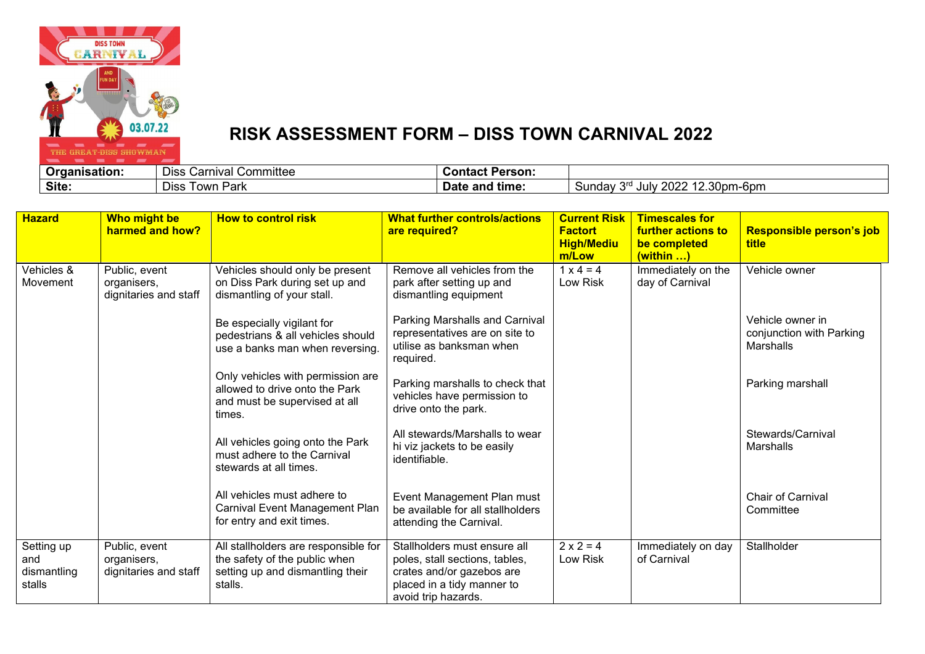

# **RISK ASSESSMENT FORM – DISS TOWN CARNIVAL 2022**

| rganisation:<br>.Jr | $-$<br>*niva.<br>Diss<br>om <i>r</i> ٽ<br>™itte∈<br>Gdi | Person.<br>Contact    |                                                                                 |
|---------------------|---------------------------------------------------------|-----------------------|---------------------------------------------------------------------------------|
| Site.               | i OW <sub>r</sub><br>Dıss<br>Park                       | ˈtimeː<br>and<br>Date | $\sim$ $\sim$<br>. nnnr<br>. .<br>2.30pm-6pm<br>Sunda <sub>'</sub><br>JUIV<br>U |

| <b>Hazard</b>                              | Who might be<br>harmed and how?                       | <b>How to control risk</b>                                                                                           | <b>What further controls/actions</b><br>are required?                                                                                            | <b>Current Risk</b><br><b>Factort</b><br><b>High/Mediu</b><br>m/Low | <b>Timescales for</b><br><b>further actions to</b><br>be completed<br>(within ) | Responsible person's job<br><b>title</b>                  |
|--------------------------------------------|-------------------------------------------------------|----------------------------------------------------------------------------------------------------------------------|--------------------------------------------------------------------------------------------------------------------------------------------------|---------------------------------------------------------------------|---------------------------------------------------------------------------------|-----------------------------------------------------------|
| Vehicles &<br>Movement                     | Public, event<br>organisers,<br>dignitaries and staff | Vehicles should only be present<br>on Diss Park during set up and<br>dismantling of your stall.                      | Remove all vehicles from the<br>park after setting up and<br>dismantling equipment                                                               | $1 \times 4 = 4$<br>Low Risk                                        | Immediately on the<br>day of Carnival                                           | Vehicle owner                                             |
|                                            |                                                       | Be especially vigilant for<br>pedestrians & all vehicles should<br>use a banks man when reversing.                   | Parking Marshalls and Carnival<br>representatives are on site to<br>utilise as banksman when<br>required.                                        |                                                                     |                                                                                 | Vehicle owner in<br>conjunction with Parking<br>Marshalls |
|                                            |                                                       | Only vehicles with permission are<br>allowed to drive onto the Park<br>and must be supervised at all<br>times.       | Parking marshalls to check that<br>vehicles have permission to<br>drive onto the park.                                                           |                                                                     |                                                                                 | Parking marshall                                          |
|                                            |                                                       | All vehicles going onto the Park<br>must adhere to the Carnival<br>stewards at all times.                            | All stewards/Marshalls to wear<br>hi viz jackets to be easily<br>identifiable.                                                                   |                                                                     |                                                                                 | Stewards/Carnival<br>Marshalls                            |
|                                            |                                                       | All vehicles must adhere to<br><b>Carnival Event Management Plan</b><br>for entry and exit times.                    | Event Management Plan must<br>be available for all stallholders<br>attending the Carnival.                                                       |                                                                     |                                                                                 | <b>Chair of Carnival</b><br>Committee                     |
| Setting up<br>and<br>dismantling<br>stalls | Public, event<br>organisers,<br>dignitaries and staff | All stallholders are responsible for<br>the safety of the public when<br>setting up and dismantling their<br>stalls. | Stallholders must ensure all<br>poles, stall sections, tables,<br>crates and/or gazebos are<br>placed in a tidy manner to<br>avoid trip hazards. | $2 \times 2 = 4$<br>Low Risk                                        | Immediately on day<br>of Carnival                                               | Stallholder                                               |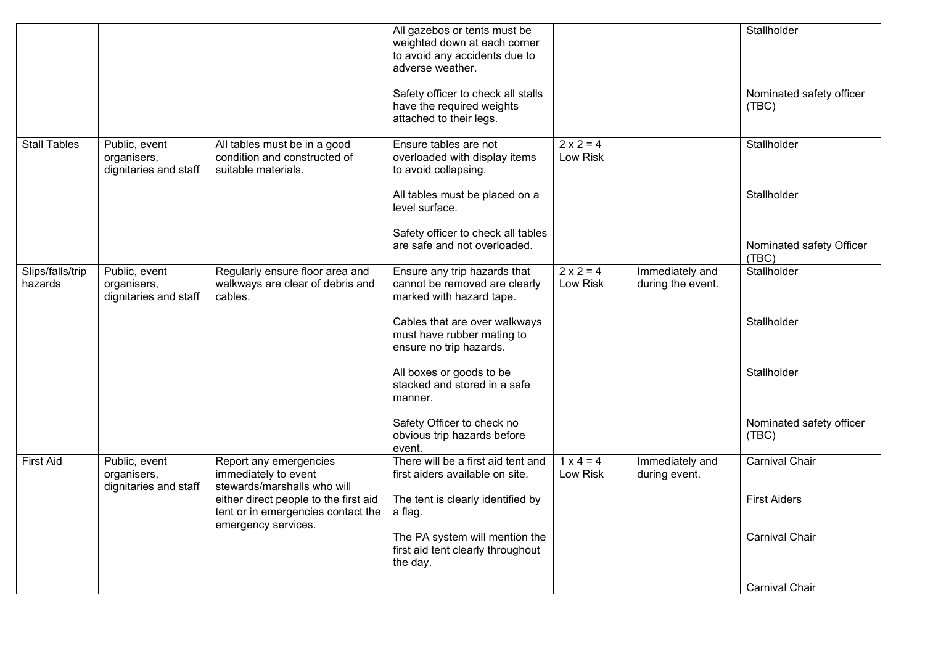|                             |                                                       |                                                                                                    | All gazebos or tents must be<br>weighted down at each corner<br>to avoid any accidents due to<br>adverse weather. |                              |                                      | Stallholder                       |
|-----------------------------|-------------------------------------------------------|----------------------------------------------------------------------------------------------------|-------------------------------------------------------------------------------------------------------------------|------------------------------|--------------------------------------|-----------------------------------|
|                             |                                                       |                                                                                                    | Safety officer to check all stalls<br>have the required weights<br>attached to their legs.                        |                              |                                      | Nominated safety officer<br>(TBC) |
| <b>Stall Tables</b>         | Public, event<br>organisers,<br>dignitaries and staff | All tables must be in a good<br>condition and constructed of<br>suitable materials.                | Ensure tables are not<br>overloaded with display items<br>to avoid collapsing.                                    | $2 \times 2 = 4$<br>Low Risk |                                      | Stallholder                       |
|                             |                                                       |                                                                                                    | All tables must be placed on a<br>level surface.                                                                  |                              |                                      | Stallholder                       |
|                             |                                                       |                                                                                                    | Safety officer to check all tables<br>are safe and not overloaded.                                                |                              |                                      | Nominated safety Officer<br>(TBC) |
| Slips/falls/trip<br>hazards | Public, event<br>organisers,<br>dignitaries and staff | Regularly ensure floor area and<br>walkways are clear of debris and<br>cables.                     | Ensure any trip hazards that<br>cannot be removed are clearly<br>marked with hazard tape.                         | $2 \times 2 = 4$<br>Low Risk | Immediately and<br>during the event. | Stallholder                       |
|                             |                                                       |                                                                                                    | Cables that are over walkways<br>must have rubber mating to<br>ensure no trip hazards.                            |                              |                                      | Stallholder                       |
|                             |                                                       |                                                                                                    | All boxes or goods to be<br>stacked and stored in a safe<br>manner.                                               |                              |                                      | Stallholder                       |
|                             |                                                       |                                                                                                    | Safety Officer to check no<br>obvious trip hazards before<br>event.                                               |                              |                                      | Nominated safety officer<br>(TBC) |
| <b>First Aid</b>            | Public, event<br>organisers,<br>dignitaries and staff | Report any emergencies<br>immediately to event<br>stewards/marshalls who will                      | There will be a first aid tent and<br>first aiders available on site.                                             | $1 x 4 = 4$<br>Low Risk      | Immediately and<br>during event.     | <b>Carnival Chair</b>             |
|                             |                                                       | either direct people to the first aid<br>tent or in emergencies contact the<br>emergency services. | The tent is clearly identified by<br>a flag.                                                                      |                              |                                      | <b>First Aiders</b>               |
|                             |                                                       |                                                                                                    | The PA system will mention the<br>first aid tent clearly throughout<br>the day.                                   |                              |                                      | Carnival Chair                    |
|                             |                                                       |                                                                                                    |                                                                                                                   |                              |                                      | <b>Carnival Chair</b>             |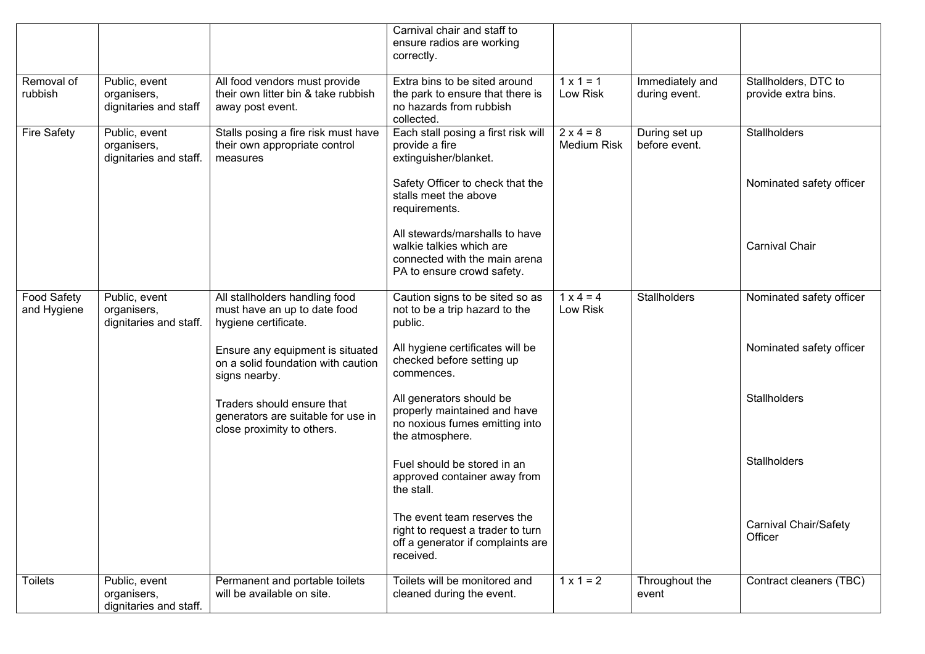|                                   |                                                        |                                                                                                | Carnival chair and staff to<br>ensure radios are working<br>correctly.                                                    |                                        |                                  |                                             |
|-----------------------------------|--------------------------------------------------------|------------------------------------------------------------------------------------------------|---------------------------------------------------------------------------------------------------------------------------|----------------------------------------|----------------------------------|---------------------------------------------|
| Removal of<br>rubbish             | Public, event<br>organisers,<br>dignitaries and staff  | All food vendors must provide<br>their own litter bin & take rubbish<br>away post event.       | Extra bins to be sited around<br>the park to ensure that there is<br>no hazards from rubbish<br>collected.                | $1 \times 1 = 1$<br>Low Risk           | Immediately and<br>during event. | Stallholders, DTC to<br>provide extra bins. |
| <b>Fire Safety</b>                | Public, event<br>organisers,<br>dignitaries and staff. | Stalls posing a fire risk must have<br>their own appropriate control<br>measures               | Each stall posing a first risk will<br>provide a fire<br>extinguisher/blanket.                                            | $2 \times 4 = 8$<br><b>Medium Risk</b> | During set up<br>before event.   | <b>Stallholders</b>                         |
|                                   |                                                        |                                                                                                | Safety Officer to check that the<br>stalls meet the above<br>requirements.                                                |                                        |                                  | Nominated safety officer                    |
|                                   |                                                        |                                                                                                | All stewards/marshalls to have<br>walkie talkies which are<br>connected with the main arena<br>PA to ensure crowd safety. |                                        |                                  | <b>Carnival Chair</b>                       |
| <b>Food Safety</b><br>and Hygiene | Public, event<br>organisers,<br>dignitaries and staff. | All stallholders handling food<br>must have an up to date food<br>hygiene certificate.         | Caution signs to be sited so as<br>not to be a trip hazard to the<br>public.                                              | $1 \times 4 = 4$<br>Low Risk           | <b>Stallholders</b>              | Nominated safety officer                    |
|                                   |                                                        | Ensure any equipment is situated<br>on a solid foundation with caution<br>signs nearby.        | All hygiene certificates will be<br>checked before setting up<br>commences.                                               |                                        |                                  | Nominated safety officer                    |
|                                   |                                                        | Traders should ensure that<br>generators are suitable for use in<br>close proximity to others. | All generators should be<br>properly maintained and have<br>no noxious fumes emitting into<br>the atmosphere.             |                                        |                                  | Stallholders                                |
|                                   |                                                        |                                                                                                | Fuel should be stored in an<br>approved container away from<br>the stall.                                                 |                                        |                                  | <b>Stallholders</b>                         |
|                                   |                                                        |                                                                                                | The event team reserves the<br>right to request a trader to turn<br>off a generator if complaints are<br>received.        |                                        |                                  | <b>Carnival Chair/Safety</b><br>Officer     |
| <b>Toilets</b>                    | Public, event<br>organisers,<br>dignitaries and staff. | Permanent and portable toilets<br>will be available on site.                                   | Toilets will be monitored and<br>cleaned during the event.                                                                | $1 \times 1 = 2$                       | Throughout the<br>event          | Contract cleaners (TBC)                     |